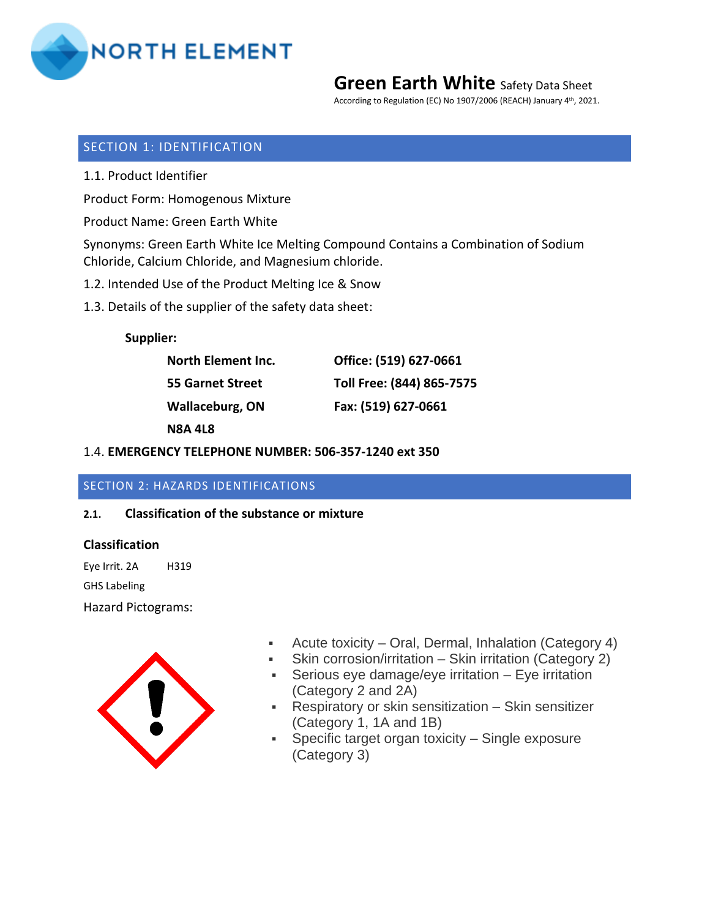

According to Regulation (EC) No 1907/2006 (REACH) January 4<sup>th</sup>, 2021.

## SECTION 1: IDENTIFICATION

1.1. Product Identifier

Product Form: Homogenous Mixture

Product Name: Green Earth White

Synonyms: Green Earth White Ice Melting Compound Contains a Combination of Sodium Chloride, Calcium Chloride, and Magnesium chloride.

- 1.2. Intended Use of the Product Melting Ice & Snow
- 1.3. Details of the supplier of the safety data sheet:

**Supplier:**

| <b>North Element Inc.</b> | Office: (519) 627-0661    |
|---------------------------|---------------------------|
| 55 Garnet Street          | Toll Free: (844) 865-7575 |
| Wallaceburg, ON           | Fax: (519) 627-0661       |
| N8A 4L8                   |                           |

#### 1.4. **EMERGENCY TELEPHONE NUMBER: 506-357-1240 ext 350**

## SECTION 2: HAZARDS IDENTIFICATIONS

## **2.1. Classification of the substance or mixture**

#### **Classification**

Eye Irrit. 2A H319 GHS Labeling Hazard Pictograms:



- Acute toxicity Oral, Dermal, Inhalation (Category 4)
- **•** Skin corrosion/irritation Skin irritation (Category 2)
- **EXE** Serious eye damage/eye irritation Eye irritation (Category 2 and 2A)
- Respiratory or skin sensitization Skin sensitizer (Category 1, 1A and 1B)
- Specific target organ toxicity Single exposure (Category 3)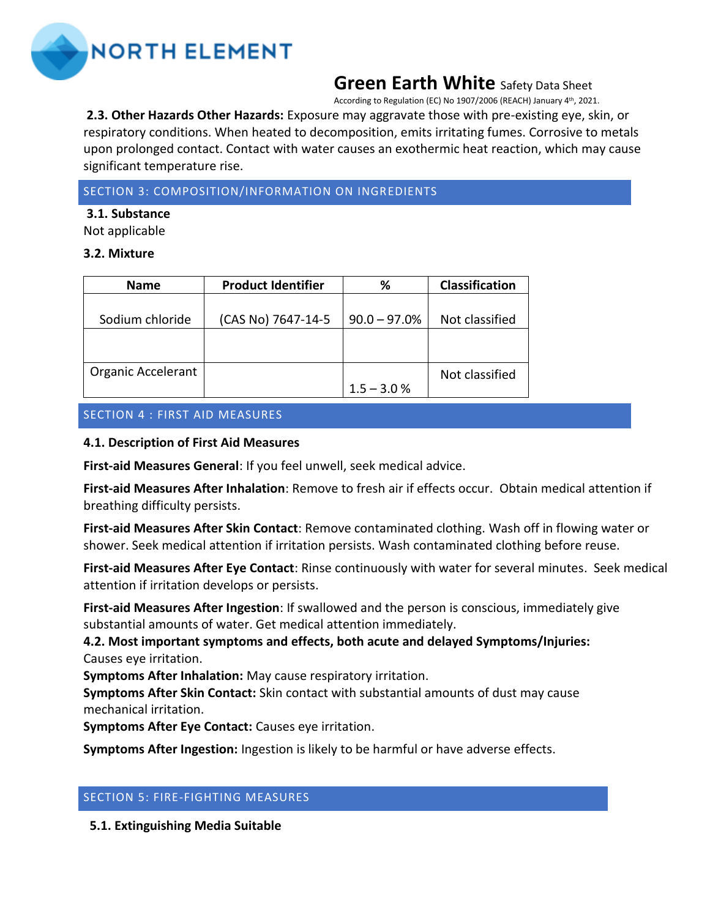

According to Regulation (EC) No 1907/2006 (REACH) January 4<sup>th</sup>, 2021.

**2.3. Other Hazards Other Hazards:** Exposure may aggravate those with pre-existing eye, skin, or respiratory conditions. When heated to decomposition, emits irritating fumes. Corrosive to metals upon prolonged contact. Contact with water causes an exothermic heat reaction, which may cause significant temperature rise.

## SECTION 3: COMPOSITION/INFORMATION ON INGREDIENTS

#### **3.1. Substance**

Not applicable

## **3.2. Mixture**

| <b>Name</b>        | <b>Product Identifier</b> | ℅              | <b>Classification</b> |
|--------------------|---------------------------|----------------|-----------------------|
|                    |                           |                |                       |
| Sodium chloride    | (CAS No) 7647-14-5        | $90.0 - 97.0%$ | Not classified        |
|                    |                           |                |                       |
|                    |                           |                |                       |
| Organic Accelerant |                           |                | Not classified        |
|                    |                           | $1.5 - 3.0 %$  |                       |

# SECTION 4 : FIRST AID MEASURES

## **4.1. Description of First Aid Measures**

**First-aid Measures General**: If you feel unwell, seek medical advice.

**First-aid Measures After Inhalation**: Remove to fresh air if effects occur. Obtain medical attention if breathing difficulty persists.

**First-aid Measures After Skin Contact**: Remove contaminated clothing. Wash off in flowing water or shower. Seek medical attention if irritation persists. Wash contaminated clothing before reuse.

**First-aid Measures After Eye Contact**: Rinse continuously with water for several minutes. Seek medical attention if irritation develops or persists.

**First-aid Measures After Ingestion**: If swallowed and the person is conscious, immediately give substantial amounts of water. Get medical attention immediately.

# **4.2. Most important symptoms and effects, both acute and delayed Symptoms/Injuries:**  Causes eye irritation.

**Symptoms After Inhalation:** May cause respiratory irritation.

**Symptoms After Skin Contact:** Skin contact with substantial amounts of dust may cause mechanical irritation.

**Symptoms After Eye Contact:** Causes eye irritation.

**Symptoms After Ingestion:** Ingestion is likely to be harmful or have adverse effects.

# SECTION 5: FIRE-FIGHTING MEASURES

**5.1. Extinguishing Media Suitable**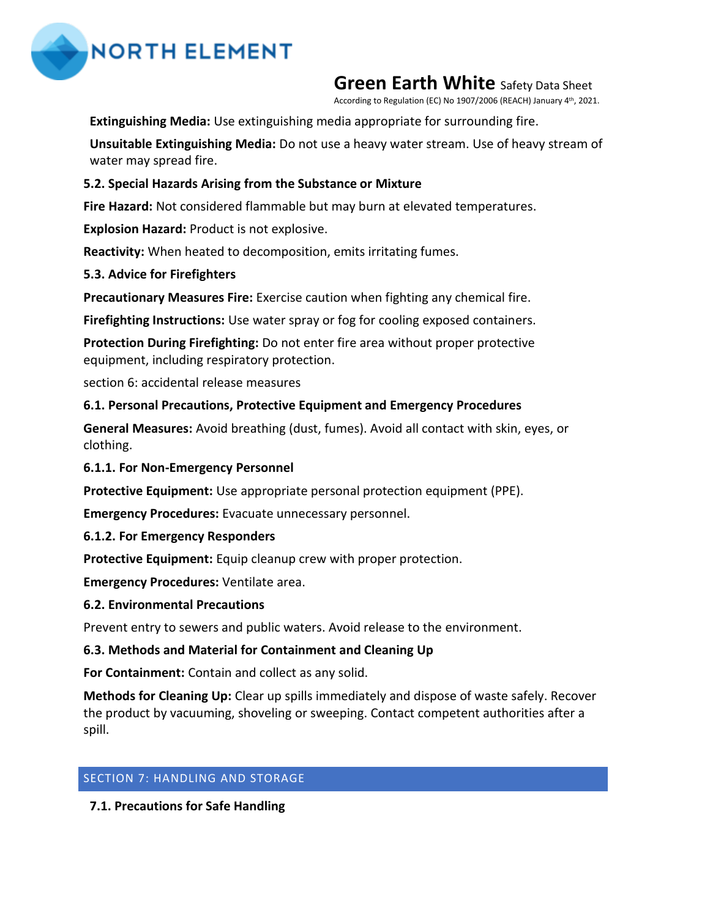

According to Regulation (EC) No 1907/2006 (REACH) January 4<sup>th</sup>, 2021.

# **Extinguishing Media:** Use extinguishing media appropriate for surrounding fire.

**Unsuitable Extinguishing Media:** Do not use a heavy water stream. Use of heavy stream of water may spread fire.

# **5.2. Special Hazards Arising from the Substance or Mixture**

**Fire Hazard:** Not considered flammable but may burn at elevated temperatures.

**Explosion Hazard:** Product is not explosive.

**Reactivity:** When heated to decomposition, emits irritating fumes.

# **5.3. Advice for Firefighters**

**Precautionary Measures Fire:** Exercise caution when fighting any chemical fire.

**Firefighting Instructions:** Use water spray or fog for cooling exposed containers.

**Protection During Firefighting:** Do not enter fire area without proper protective equipment, including respiratory protection.

section 6: accidental release measures

# **6.1. Personal Precautions, Protective Equipment and Emergency Procedures**

**General Measures:** Avoid breathing (dust, fumes). Avoid all contact with skin, eyes, or clothing.

# **6.1.1. For Non-Emergency Personnel**

**Protective Equipment:** Use appropriate personal protection equipment (PPE).

**Emergency Procedures:** Evacuate unnecessary personnel.

## **6.1.2. For Emergency Responders**

**Protective Equipment:** Equip cleanup crew with proper protection.

**Emergency Procedures:** Ventilate area.

## **6.2. Environmental Precautions**

Prevent entry to sewers and public waters. Avoid release to the environment.

# **6.3. Methods and Material for Containment and Cleaning Up**

**For Containment:** Contain and collect as any solid.

**Methods for Cleaning Up:** Clear up spills immediately and dispose of waste safely. Recover the product by vacuuming, shoveling or sweeping. Contact competent authorities after a spill.

# SECTION 7: HANDLING AND STORAGE

**7.1. Precautions for Safe Handling**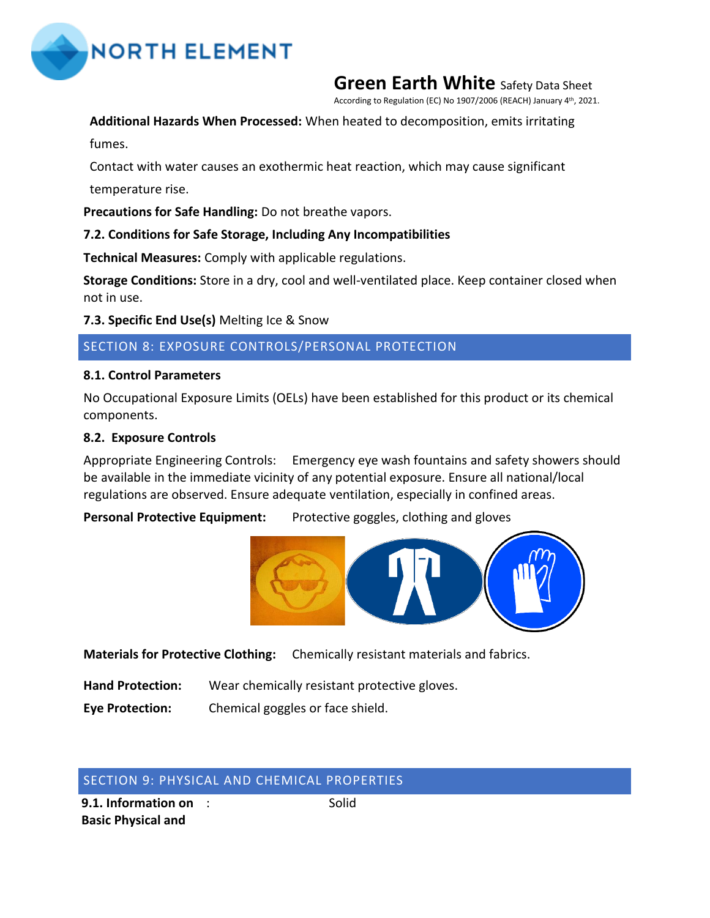

According to Regulation (EC) No 1907/2006 (REACH) January 4<sup>th</sup>, 2021.

# **Additional Hazards When Processed:** When heated to decomposition, emits irritating

fumes.

Contact with water causes an exothermic heat reaction, which may cause significant

temperature rise.

**Precautions for Safe Handling:** Do not breathe vapors.

# **7.2. Conditions for Safe Storage, Including Any Incompatibilities**

**Technical Measures:** Comply with applicable regulations.

**Storage Conditions:** Store in a dry, cool and well-ventilated place. Keep container closed when not in use.

**7.3. Specific End Use(s)** Melting Ice & Snow

# SECTION 8: EXPOSURE CONTROLS/PERSONAL PROTECTION

## **8.1. Control Parameters**

No Occupational Exposure Limits (OELs) have been established for this product or its chemical components.

# **8.2. Exposure Controls**

Appropriate Engineering Controls: Emergency eye wash fountains and safety showers should be available in the immediate vicinity of any potential exposure. Ensure all national/local regulations are observed. Ensure adequate ventilation, especially in confined areas.

Personal Protective Equipment: Protective goggles, clothing and gloves



**Materials for Protective Cloth[ing:](http://www.flickr.com/photos/devnull/189017925/)** Chemicall[y resistant](https://commons.wikimedia.org/wiki/File:DIN_4844-2_D-M007.svg) material[s and](https://creativecommons.org/licenses/by-sa/3.0/) fabrics.

- **Hand Protection:** Wear ch[emically re](https://creativecommons.org/licenses/by-nc-sa/2.0/)sistan[t prot](https://creativecommons.org/licenses/by-sa/3.0/)ective gloves.
- **Eye Protection:** Chemical goggles or face shield.

# SECTION 9: PHYSICAL AND CHEMICAL PROPERTIES

**9.1. Information on Basic Physical and** 

: Solid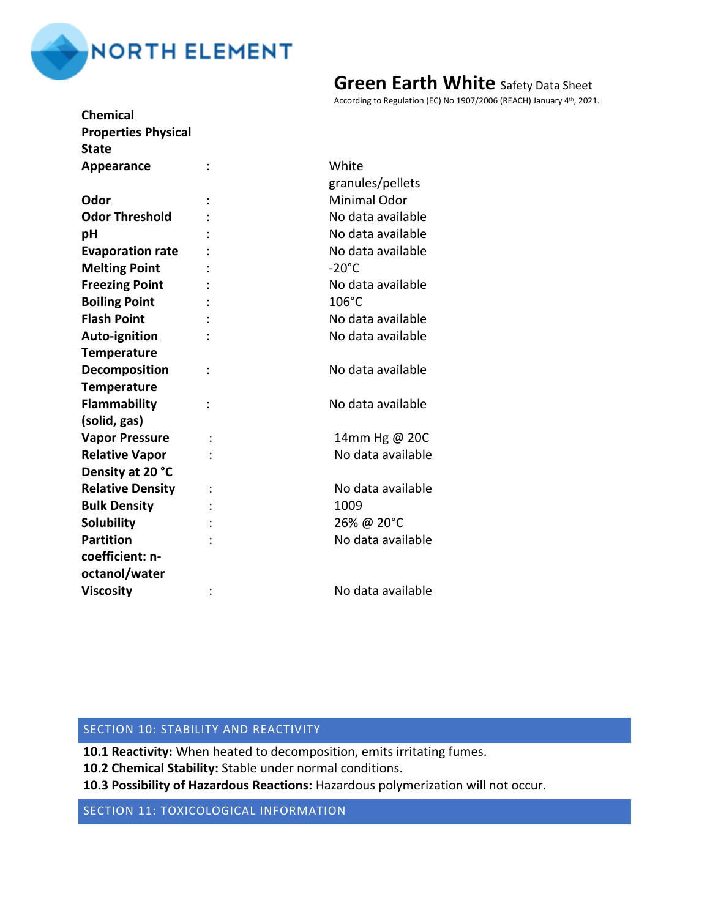

| <b>Chemical</b>            |                |                     |
|----------------------------|----------------|---------------------|
| <b>Properties Physical</b> |                |                     |
| <b>State</b>               |                |                     |
| Appearance                 |                | White               |
|                            |                | granules/pellets    |
| Odor                       |                | <b>Minimal Odor</b> |
| <b>Odor Threshold</b>      |                | No data available   |
| pH                         |                | No data available   |
| <b>Evaporation rate</b>    |                | No data available   |
| <b>Melting Point</b>       |                | $-20^{\circ}$ C     |
| <b>Freezing Point</b>      |                | No data available   |
| <b>Boiling Point</b>       |                | 106°C               |
| <b>Flash Point</b>         |                | No data available   |
| Auto-ignition              |                | No data available   |
| <b>Temperature</b>         |                |                     |
| Decomposition              | $\ddot{\cdot}$ | No data available   |
| <b>Temperature</b>         |                |                     |
| <b>Flammability</b>        |                | No data available   |
| (solid, gas)               |                |                     |
| <b>Vapor Pressure</b>      |                | 14mm Hg @ 20C       |
| <b>Relative Vapor</b>      |                | No data available   |
| Density at 20 °C           |                |                     |
| <b>Relative Density</b>    |                | No data available   |
| <b>Bulk Density</b>        |                | 1009                |
| <b>Solubility</b>          |                | 26% @ 20°C          |
| <b>Partition</b>           |                | No data available   |
| coefficient: n-            |                |                     |
| octanol/water              |                |                     |
| <b>Viscosity</b>           |                | No data available   |
|                            |                |                     |

According to Regulation (EC) No 1907/2006 (REACH) January 4<sup>th</sup>, 2021.

## SECTION 10: STABILITY AND REACTIVITY

**10.1 Reactivity:** When heated to decomposition, emits irritating fumes.

**10.2 Chemical Stability:** Stable under normal conditions.

**10.3 Possibility of Hazardous Reactions:** Hazardous polymerization will not occur.

SECTION 11: TOXICOLOGICAL INFORMATION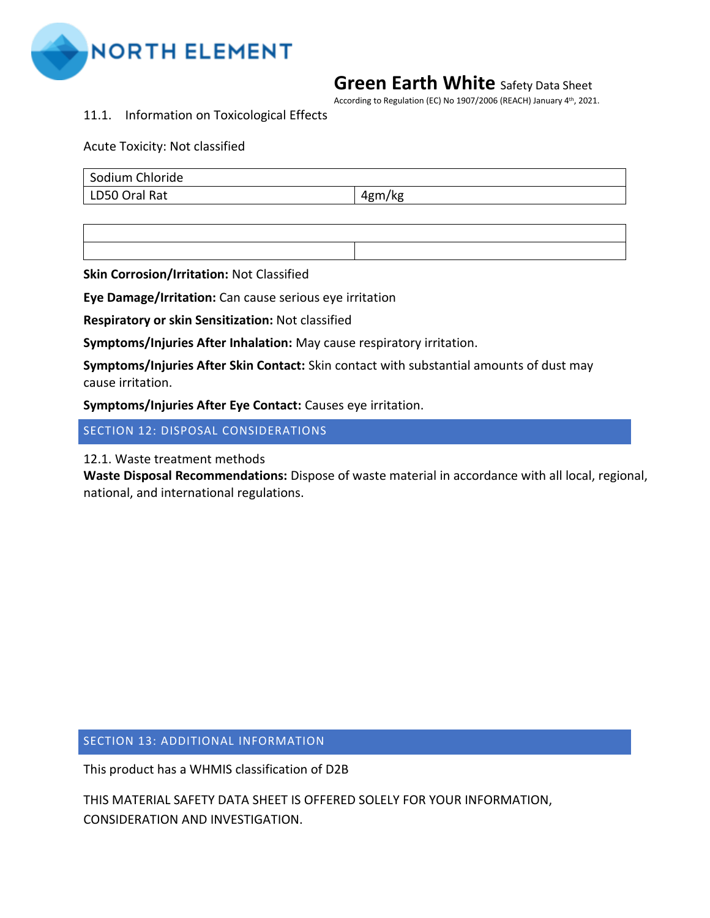

According to Regulation (EC) No 1907/2006 (REACH) January 4<sup>th</sup>, 2021.

11.1. Information on Toxicological Effects

## Acute Toxicity: Not classified

| Sodium Chloride |        |
|-----------------|--------|
| LD50 Oral Rat   | 4gm/kg |

**Skin Corrosion/Irritation:** Not Classified

**Eye Damage/Irritation:** Can cause serious eye irritation

**Respiratory or skin Sensitization:** Not classified

**Symptoms/Injuries After Inhalation:** May cause respiratory irritation.

**Symptoms/Injuries After Skin Contact:** Skin contact with substantial amounts of dust may cause irritation.

**Symptoms/Injuries After Eye Contact:** Causes eye irritation.

SECTION 12: DISPOSAL CONSIDERATIONS

12.1. Waste treatment methods

**Waste Disposal Recommendations:** Dispose of waste material in accordance with all local, regional, national, and international regulations.

SECTION 13: ADDITIONAL INFORMATION

This product has a WHMIS classification of D2B

THIS MATERIAL SAFETY DATA SHEET IS OFFERED SOLELY FOR YOUR INFORMATION, CONSIDERATION AND INVESTIGATION.